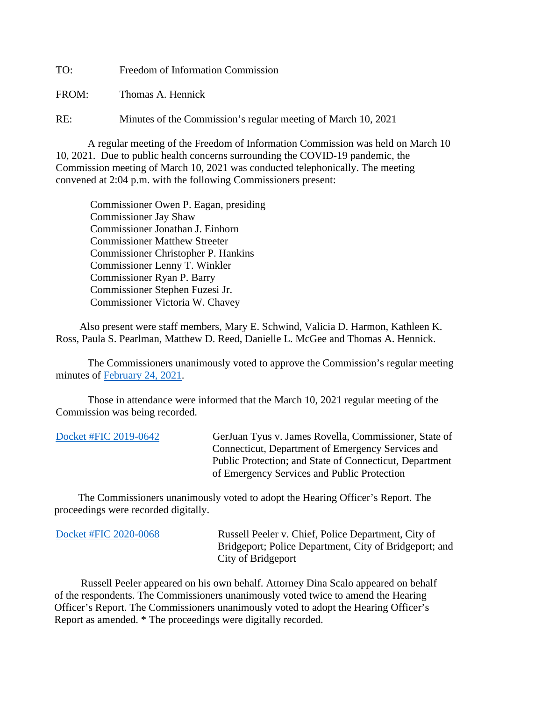TO: Freedom of Information Commission

FROM: Thomas A. Hennick

RE: Minutes of the Commission's regular meeting of March 10, 2021

A regular meeting of the Freedom of Information Commission was held on March 10 10, 2021. Due to public health concerns surrounding the COVID-19 pandemic, the Commission meeting of March 10, 2021 was conducted telephonically. The meeting convened at 2:04 p.m. with the following Commissioners present:

 Commissioner Owen P. Eagan, presiding Commissioner Jay Shaw Commissioner Jonathan J. Einhorn Commissioner Matthew Streeter Commissioner Christopher P. Hankins Commissioner Lenny T. Winkler Commissioner Ryan P. Barry Commissioner Stephen Fuzesi Jr. Commissioner Victoria W. Chavey

 Also present were staff members, Mary E. Schwind, Valicia D. Harmon, Kathleen K. Ross, Paula S. Pearlman, Matthew D. Reed, Danielle L. McGee and Thomas A. Hennick.

The Commissioners unanimously voted to approve the Commission's regular meeting minutes of [February 24, 2021.](https://portal.ct.gov/-/media/FOI/Minutes/2021/Minutes-2-24-2021b.pdf)

 Those in attendance were informed that the March 10, 2021 regular meeting of the Commission was being recorded.

| Docket #FIC 2019-0642 | GerJuan Tyus v. James Rovella, Commissioner, State of   |
|-----------------------|---------------------------------------------------------|
|                       | Connecticut, Department of Emergency Services and       |
|                       | Public Protection; and State of Connecticut, Department |
|                       | of Emergency Services and Public Protection             |

 The Commissioners unanimously voted to adopt the Hearing Officer's Report. The proceedings were recorded digitally.

| Docket #FIC 2020-0068 | Russell Peeler v. Chief, Police Department, City of<br>Bridgeport; Police Department, City of Bridgeport; and<br>City of Bridgeport |
|-----------------------|-------------------------------------------------------------------------------------------------------------------------------------|
|                       |                                                                                                                                     |

 Russell Peeler appeared on his own behalf. Attorney Dina Scalo appeared on behalf of the respondents. The Commissioners unanimously voted twice to amend the Hearing Officer's Report. The Commissioners unanimously voted to adopt the Hearing Officer's Report as amended. \* The proceedings were digitally recorded.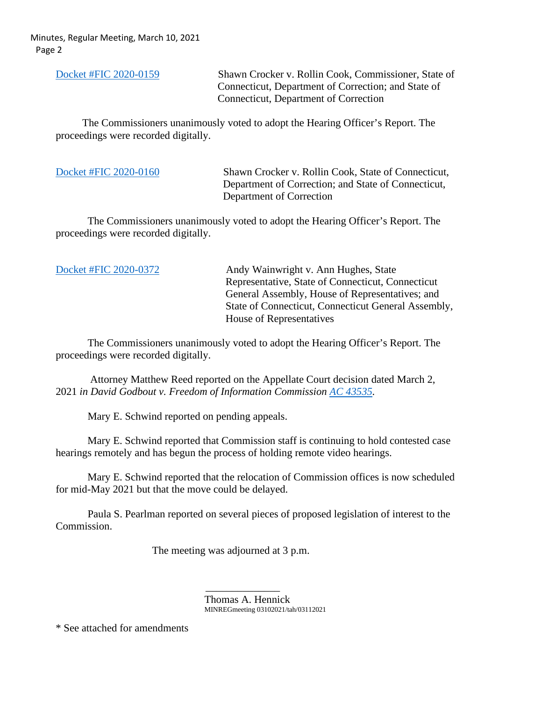Minutes, Regular Meeting, March 10, 2021 Page 2

[Docket #FIC 2020-0159](https://portal.ct.gov/-/media/FOI/FinalDecisions/2021/Mar10/2020-0159.pdf) Shawn Crocker v. Rollin Cook, Commissioner, State of Connecticut, Department of Correction; and State of Connecticut, Department of Correction

 The Commissioners unanimously voted to adopt the Hearing Officer's Report. The proceedings were recorded digitally.

[Docket #FIC 2020-0160](https://portal.ct.gov/-/media/FOI/FinalDecisions/2021/Mar10/2020-0160.pdf) Shawn Crocker v. Rollin Cook, State of Connecticut, Department of Correction; and State of Connecticut, Department of Correction

 The Commissioners unanimously voted to adopt the Hearing Officer's Report. The proceedings were recorded digitally.

[Docket #FIC 2020-0372](https://portal.ct.gov/-/media/FOI/FinalDecisions/2021/Mar10/2020-0372.pdf) Andy Wainwright v. Ann Hughes, State Representative, State of Connecticut, Connecticut General Assembly, House of Representatives; and State of Connecticut, Connecticut General Assembly, House of Representatives

 The Commissioners unanimously voted to adopt the Hearing Officer's Report. The proceedings were recorded digitally.

 Attorney Matthew Reed reported on the Appellate Court decision dated March 2, 2021 *in David Godbout v. Freedom of Information Commission [AC 43535.](http://appellateinquiry.jud.ct.gov/CaseDetail.aspx?CRN=72382&Type=CaseName)*

Mary E. Schwind reported on pending appeals.

Mary E. Schwind reported that Commission staff is continuing to hold contested case hearings remotely and has begun the process of holding remote video hearings.

Mary E. Schwind reported that the relocation of Commission offices is now scheduled for mid-May 2021 but that the move could be delayed.

Paula S. Pearlman reported on several pieces of proposed legislation of interest to the Commission.

The meeting was adjourned at 3 p.m.

Thomas A. Hennick MINREGmeeting 03102021/tah/03112021

\* See attached for amendments

 $\mathcal{L}_\text{max}$  and  $\mathcal{L}_\text{max}$  and  $\mathcal{L}_\text{max}$  and  $\mathcal{L}_\text{max}$